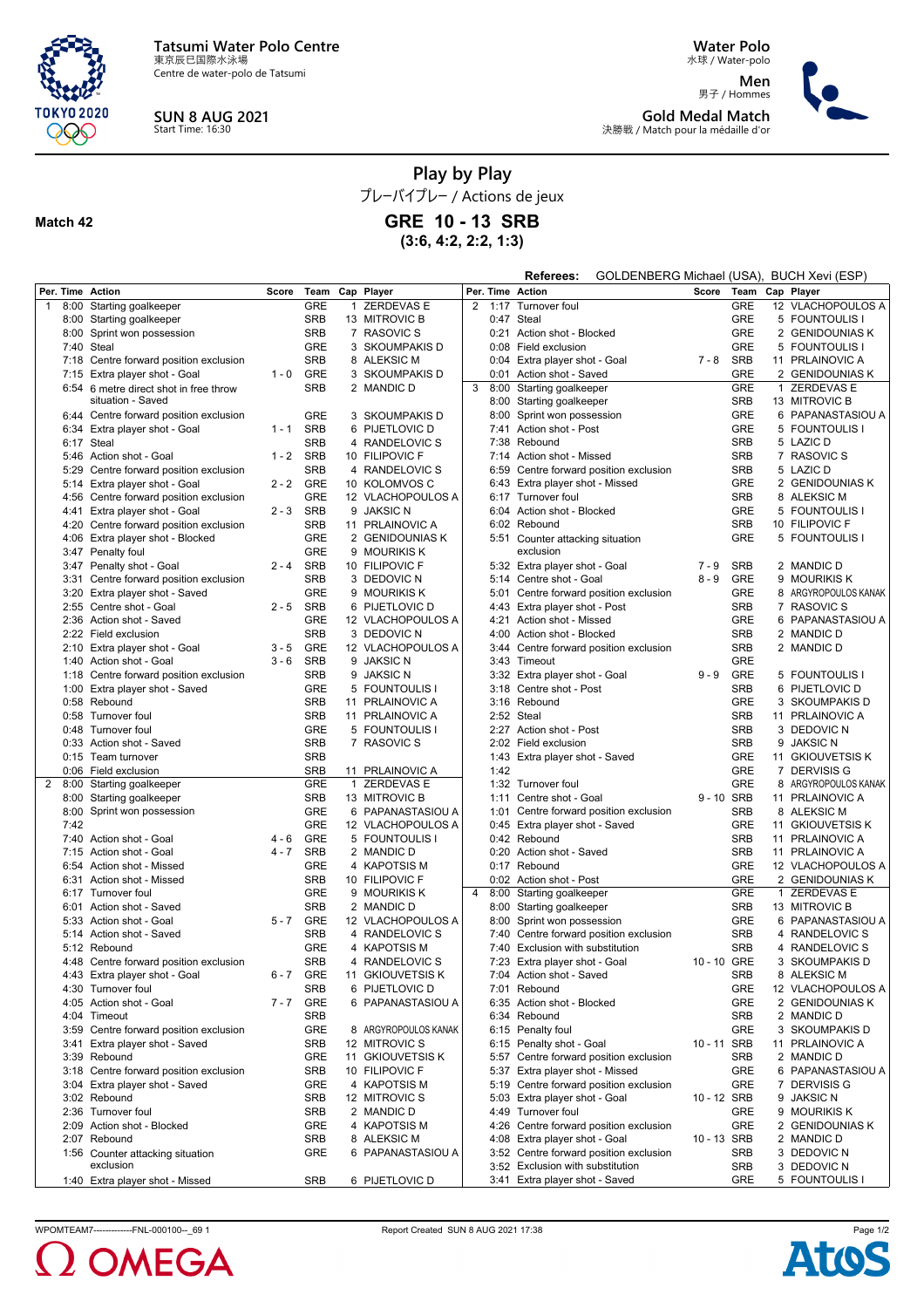

Centre de water-polo de Tatsumi



## **SUN 8 AUG 2021** Start Time: 16:30

**Water Polo** 水球 / Water-polo

**Men** 男子 / Hommes **Gold Medal Match** 決勝戦 / Match pour la médaille d'or



**Play by Play**

プレーバイプレー / Actions de jeux

## **Match 42**

**GRE 10 - 13 SRB**

**(3:6, 4:2, 2:2, 1:3)**

|                  |                                        |         |            |              |                      |   |      | GOLDENBERG Michael (USA), BUCH Xevi (ESP)<br>Referees: |             |            |              |                      |
|------------------|----------------------------------------|---------|------------|--------------|----------------------|---|------|--------------------------------------------------------|-------------|------------|--------------|----------------------|
| Per. Time Action |                                        | Score   | Team       |              | Cap Player           |   |      | Per. Time Action                                       | Score       | Team       |              | Cap Player           |
| $\overline{1}$   | 8:00 Starting goalkeeper               |         | <b>GRE</b> | $\mathbf{1}$ | <b>ZERDEVAS E</b>    | 2 | 1:17 | Turnover foul                                          |             | <b>GRE</b> |              | 12 VLACHOPOULOS A    |
|                  | 8:00 Starting goalkeeper               |         | <b>SRB</b> |              | 13 MITROVIC B        |   |      | 0:47 Steal                                             |             | <b>GRE</b> |              | 5 FOUNTOULIS I       |
|                  | 8:00 Sprint won possession             |         | <b>SRB</b> |              | 7 RASOVIC S          |   |      | 0:21 Action shot - Blocked                             |             | <b>GRE</b> |              | 2 GENIDOUNIAS K      |
|                  | 7:40 Steal                             |         | <b>GRE</b> |              | 3 SKOUMPAKIS D       |   |      | 0:08 Field exclusion                                   |             | <b>GRE</b> |              | 5 FOUNTOULIS I       |
|                  | 7:18 Centre forward position exclusion |         | <b>SRB</b> |              | 8 ALEKSIC M          |   |      | 0:04 Extra player shot - Goal                          | $7 - 8$     | <b>SRB</b> |              | 11 PRLAINOVIC A      |
|                  | 7:15 Extra player shot - Goal          | $1 - 0$ | GRE        |              | 3 SKOUMPAKIS D       |   | 0:01 | Action shot - Saved                                    |             | GRE        |              | 2 GENIDOUNIAS K      |
|                  | 6:54 6 metre direct shot in free throw |         | <b>SRB</b> |              | 2 MANDIC D           | 3 | 8:00 | Starting goalkeeper                                    |             | <b>GRE</b> |              | 1 ZERDEVAS E         |
|                  | situation - Saved                      |         |            |              |                      |   | 8:00 | Starting goalkeeper                                    |             | <b>SRB</b> |              | 13 MITROVIC B        |
|                  | 6:44 Centre forward position exclusion |         | GRE        |              | 3 SKOUMPAKIS D       |   | 8:00 | Sprint won possession                                  |             | <b>GRE</b> |              | 6 PAPANASTASIOU A    |
|                  | 6:34 Extra player shot - Goal          | $1 - 1$ | SRB        |              | 6 PIJETLOVIC D       |   | 7:41 | Action shot - Post                                     |             | <b>GRE</b> |              | 5 FOUNTOULIS I       |
|                  | 6:17 Steal                             |         | <b>SRB</b> |              | 4 RANDELOVIC S       |   | 7:38 | Rebound                                                |             | <b>SRB</b> |              | 5 LAZIC D            |
|                  | 5:46 Action shot - Goal                | $1 - 2$ | SRB        |              | 10 FILIPOVIC F       |   |      | 7:14 Action shot - Missed                              |             | <b>SRB</b> |              | 7 RASOVIC S          |
|                  | 5:29 Centre forward position exclusion |         | <b>SRB</b> |              | 4 RANDELOVIC S       |   | 6:59 | Centre forward position exclusion                      |             | <b>SRB</b> |              | 5 LAZIC D            |
|                  | 5:14 Extra player shot - Goal          | 2 - 2   | GRE        |              | 10 KOLOMVOS C        |   |      | 6:43 Extra player shot - Missed                        |             | GRE        |              | 2 GENIDOUNIAS K      |
|                  | 4:56 Centre forward position exclusion |         | <b>GRE</b> |              | 12 VLACHOPOULOS A    |   |      | 6:17 Turnover foul                                     |             | <b>SRB</b> |              | 8 ALEKSIC M          |
|                  | 4:41 Extra player shot - Goal          | $2 - 3$ | SRB        |              | 9 JAKSIC N           |   |      | 6:04 Action shot - Blocked                             |             | <b>GRE</b> |              | 5 FOUNTOULIS I       |
|                  | 4:20 Centre forward position exclusion |         | <b>SRB</b> |              | 11 PRLAINOVIC A      |   |      | 6:02 Rebound                                           |             | <b>SRB</b> |              | 10 FILIPOVIC F       |
|                  | 4:06 Extra player shot - Blocked       |         | <b>GRE</b> |              | 2 GENIDOUNIAS K      |   |      | 5:51 Counter attacking situation                       |             | <b>GRE</b> |              | 5 FOUNTOULIS I       |
|                  | 3:47 Penalty foul                      |         | <b>GRE</b> |              | 9 MOURIKIS K         |   |      | exclusion                                              |             |            |              |                      |
|                  | 3:47 Penalty shot - Goal               | 2 - 4   | SRB        |              | 10 FILIPOVIC F       |   |      | 5:32 Extra player shot - Goal                          | $7 - 9$     | <b>SRB</b> |              | 2 MANDIC D           |
|                  | 3:31 Centre forward position exclusion |         | <b>SRB</b> |              | 3 DEDOVIC N          |   |      | 5:14 Centre shot - Goal                                | $8 - 9$     | <b>GRE</b> |              | 9 MOURIKIS K         |
|                  | 3:20 Extra player shot - Saved         |         | GRE        |              | 9 MOURIKIS K         |   | 5:01 | Centre forward position exclusion                      |             | GRE        |              | 8 ARGYROPOULOS KANAK |
|                  | 2:55 Centre shot - Goal                | $2 - 5$ | SRB        |              | 6 PIJETLOVIC D       |   |      | 4:43 Extra player shot - Post                          |             | <b>SRB</b> |              | 7 RASOVIC S          |
|                  | 2:36 Action shot - Saved               |         | <b>GRE</b> |              | 12 VLACHOPOULOS A    |   | 4:21 | Action shot - Missed                                   |             | <b>GRE</b> |              | 6 PAPANASTASIOU A    |
|                  | 2:22 Field exclusion                   |         | <b>SRB</b> |              | 3 DEDOVIC N          |   | 4:00 | Action shot - Blocked                                  |             | <b>SRB</b> |              | 2 MANDIC D           |
|                  | 2:10 Extra player shot - Goal          | $3 - 5$ | <b>GRE</b> |              | 12 VLACHOPOULOS A    |   | 3:44 | Centre forward position exclusion                      |             | <b>SRB</b> |              | 2 MANDIC D           |
|                  | 1:40 Action shot - Goal                | 3 - 6   | SRB        |              | 9 JAKSIC N           |   |      | 3:43 Timeout                                           |             | <b>GRE</b> |              |                      |
|                  | 1:18 Centre forward position exclusion |         | <b>SRB</b> |              | 9 JAKSIC N           |   | 3:32 | Extra player shot - Goal                               | $9 - 9$     | GRE        |              | 5 FOUNTOULIS I       |
|                  | 1:00 Extra player shot - Saved         |         | GRE        |              | 5 FOUNTOULIS I       |   | 3:18 | Centre shot - Post                                     |             | <b>SRB</b> |              | 6 PIJETLOVIC D       |
|                  | 0:58 Rebound                           |         | SRB        |              | 11 PRLAINOVIC A      |   |      | 3:16 Rebound                                           |             | <b>GRE</b> |              | 3 SKOUMPAKIS D       |
|                  | 0:58 Turnover foul                     |         | <b>SRB</b> |              | 11 PRLAINOVIC A      |   |      | 2:52 Steal                                             |             | <b>SRB</b> |              | 11 PRLAINOVIC A      |
|                  | 0:48 Turnover foul                     |         | <b>GRE</b> |              | 5 FOUNTOULIS I       |   | 2:27 | Action shot - Post                                     |             | <b>SRB</b> |              | 3 DEDOVIC N          |
|                  | 0:33 Action shot - Saved               |         | <b>SRB</b> |              | 7 RASOVIC S          |   |      | 2:02 Field exclusion                                   |             | <b>SRB</b> |              | 9 JAKSIC N           |
|                  | 0:15 Team turnover                     |         | <b>SRB</b> |              |                      |   | 1:43 | Extra player shot - Saved                              |             | <b>GRE</b> |              | 11 GKIOUVETSIS K     |
|                  | 0:06 Field exclusion                   |         | <b>SRB</b> |              | 11 PRLAINOVIC A      |   | 1:42 |                                                        |             | <b>GRE</b> |              | 7 DERVISIS G         |
|                  | 2 8:00 Starting goalkeeper             |         | <b>GRE</b> |              | 1 ZERDEVAS E         |   |      | 1:32 Turnover foul                                     |             | <b>GRE</b> |              | 8 ARGYROPOULOS KANAK |
|                  | 8:00 Starting goalkeeper               |         | SRB        |              | 13 MITROVIC B        |   | 1:11 | Centre shot - Goal                                     | 9-10 SRB    |            |              | 11 PRLAINOVIC A      |
|                  | 8:00 Sprint won possession             |         | <b>GRE</b> |              | 6 PAPANASTASIOU A    |   | 1:01 | Centre forward position exclusion                      |             | <b>SRB</b> |              | 8 ALEKSIC M          |
| 7:42             |                                        |         | <b>GRE</b> |              | 12 VLACHOPOULOS A    |   | 0:45 | Extra player shot - Saved                              |             | <b>GRE</b> |              | 11 GKIOUVETSIS K     |
|                  | 7:40 Action shot - Goal                | $4 - 6$ | <b>GRE</b> |              | 5 FOUNTOULIS I       |   |      | 0:42 Rebound                                           |             | <b>SRB</b> |              | 11 PRLAINOVIC A      |
|                  | 7:15 Action shot - Goal                | 4 - 7   | SRB        |              | 2 MANDIC D           |   | 0:20 | Action shot - Saved                                    |             | <b>SRB</b> |              | 11 PRLAINOVIC A      |
|                  | 6:54 Action shot - Missed              |         | <b>GRE</b> |              | 4 KAPOTSIS M         |   |      | 0:17 Rebound                                           |             | <b>GRE</b> |              | 12 VLACHOPOULOS A    |
|                  | 6:31 Action shot - Missed              |         | SRB        |              | 10 FILIPOVIC F       |   |      | 0:02 Action shot - Post                                |             | GRE        |              | 2 GENIDOUNIAS K      |
|                  | 6:17 Turnover foul                     |         | <b>GRE</b> |              | 9 MOURIKIS K         | 4 | 8:00 | Starting goalkeeper                                    |             | <b>GRE</b> | $\mathbf{1}$ | <b>ZERDEVAS E</b>    |
|                  | 6:01 Action shot - Saved               |         | <b>SRB</b> |              | 2 MANDIC D           |   | 8:00 | Starting goalkeeper                                    |             | <b>SRB</b> |              | 13 MITROVIC B        |
|                  | 5:33 Action shot - Goal                | 5 - 7   | <b>GRE</b> |              | 12 VLACHOPOULOS A    |   | 8:00 | Sprint won possession                                  |             | GRE        |              | 6 PAPANASTASIOU A    |
|                  | 5:14 Action shot - Saved               |         | <b>SRB</b> |              | 4 RANDELOVIC S       |   | 7:40 | Centre forward position exclusion                      |             | <b>SRB</b> |              | 4 RANDELOVIC S       |
|                  | 5:12 Rebound                           |         | <b>GRE</b> |              | 4 KAPOTSIS M         |   |      | 7:40 Exclusion with substitution                       |             | <b>SRB</b> |              | 4 RANDELOVIC S       |
|                  | 4:48 Centre forward position exclusion |         | <b>SRB</b> |              | 4 RANDELOVIC S       |   |      | 7:23 Extra player shot - Goal                          | 10 - 10 GRE |            |              | 3 SKOUMPAKIS D       |
|                  | 4:43 Extra player shot - Goal          | 6 - 7   | GRE        |              | 11 GKIOUVETSIS K     |   |      | 7:04 Action shot - Saved                               |             | <b>SRB</b> |              | 8 ALEKSIC M          |
|                  | 4:30 Turnover foul                     |         | <b>SRB</b> |              | 6 PIJETLOVIC D       |   |      | 7:01 Rebound                                           |             | GRE        |              | 12 VLACHOPOULOS A    |
|                  | 4:05 Action shot - Goal                | 7 - 7   | GRE        |              | 6 PAPANASTASIOU A    |   |      | 6:35 Action shot - Blocked                             |             | GRE        |              | 2 GENIDOUNIAS K      |
|                  | 4:04 Timeout                           |         | SRB        |              |                      |   |      | 6:34 Rebound                                           |             | <b>SRB</b> |              | 2 MANDIC D           |
|                  | 3:59 Centre forward position exclusion |         | <b>GRE</b> |              | 8 ARGYROPOULOS KANAK |   |      | 6:15 Penalty foul                                      |             | <b>GRE</b> |              | 3 SKOUMPAKIS D       |
|                  | 3:41 Extra player shot - Saved         |         | <b>SRB</b> |              | 12 MITROVIC S        |   |      | 6:15 Penalty shot - Goal                               | 10 - 11 SRB |            |              | 11 PRLAINOVIC A      |
|                  | 3:39 Rebound                           |         | <b>GRE</b> |              | 11 GKIOUVETSIS K     |   | 5:57 | Centre forward position exclusion                      |             | <b>SRB</b> |              | 2 MANDIC D           |
|                  | 3:18 Centre forward position exclusion |         | SRB        |              | 10 FILIPOVIC F       |   |      | 5:37 Extra player shot - Missed                        |             | GRE        |              | 6 PAPANASTASIOU A    |
|                  | 3:04 Extra player shot - Saved         |         | GRE        |              | 4 KAPOTSIS M         |   | 5:19 | Centre forward position exclusion                      |             | <b>GRE</b> |              | 7 DERVISIS G         |
|                  | 3:02 Rebound                           |         | SRB        |              | 12 MITROVIC S        |   |      | 5:03 Extra player shot - Goal                          | 10 - 12 SRB |            |              | 9 JAKSIC N           |
|                  | 2:36 Turnover foul                     |         | SRB        |              | 2 MANDIC D           |   |      | 4:49 Turnover foul                                     |             | <b>GRE</b> |              | 9 MOURIKIS K         |
|                  | 2:09 Action shot - Blocked             |         | <b>GRE</b> |              | 4 KAPOTSIS M         |   |      | 4:26 Centre forward position exclusion                 |             | <b>GRE</b> |              | 2 GENIDOUNIAS K      |
|                  | 2:07 Rebound                           |         | <b>SRB</b> |              | 8 ALEKSIC M          |   |      | 4:08 Extra player shot - Goal                          | 10 - 13 SRB |            |              | 2 MANDIC D           |
|                  | 1:56 Counter attacking situation       |         | GRE        |              | 6 PAPANASTASIOU A    |   |      | 3:52 Centre forward position exclusion                 |             | <b>SRB</b> |              | 3 DEDOVIC N          |
|                  | exclusion                              |         |            |              |                      |   |      | 3:52 Exclusion with substitution                       |             | SRB        |              | 3 DEDOVIC N          |
|                  | 1:40 Extra player shot - Missed        |         | SRB        |              | 6 PIJETLOVIC D       |   |      | 3:41 Extra player shot - Saved                         |             | GRE        |              | 5 FOUNTOULIS I       |